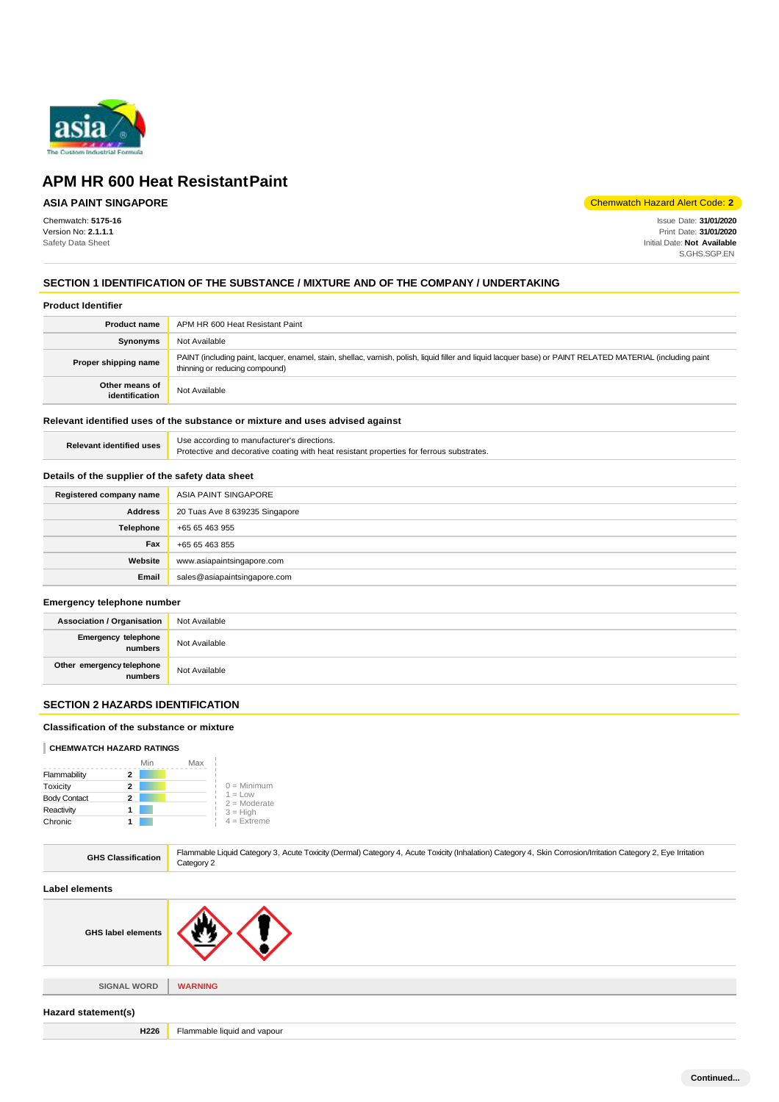

## **ASIA PAINT SINGAPORE**

Chemwatch: **5175-16** Version No: **2.1.1.1** Safety Data Sheet

Chemwatch Hazard Alert Code: **2**

Issue Date: **31/01/2020** Print Date: **31/01/2020** Initial Date: **Not Available** S.GHS.SGP.EN

## **SECTION 1 IDENTIFICATION OF THE SUBSTANCE / MIXTURE AND OF THE COMPANY / UNDERTAKING**

#### **Product Identifier**

| <b>Product name</b>              | APM HR 600 Heat Resistant Paint                                                                                                                                                               |  |
|----------------------------------|-----------------------------------------------------------------------------------------------------------------------------------------------------------------------------------------------|--|
| Synonyms                         | Not Available                                                                                                                                                                                 |  |
| Proper shipping name             | PAINT (including paint, lacquer, enamel, stain, shellac, varnish, polish, liquid filler and liquid lacquer base) or PAINT RELATED MATERIAL (including paint<br>thinning or reducing compound) |  |
| Other means of<br>identification | Not Available                                                                                                                                                                                 |  |

## **Relevant identified uses of the substance or mixture and uses advised against**

| <b>Relevant identified uses</b> | Use according to manufacturer's directions.                                              |  |
|---------------------------------|------------------------------------------------------------------------------------------|--|
|                                 | Protective and decorative coating with heat resistant properties for ferrous substrates. |  |

## **Details of the supplier of the safety data sheet**

| Registered company name | ASIA PAINT SINGAPORE           |
|-------------------------|--------------------------------|
| <b>Address</b>          | 20 Tuas Ave 8 639235 Singapore |
| Telephone               | +65 65 463 955                 |
| Fax                     | +65 65 463 855                 |
| Website                 | www.asiapaintsingapore.com     |
| Email                   | sales@asiapaintsingapore.com   |

#### **Emergency telephone number**

| <b>Association / Organisation</b>    | Not Available |
|--------------------------------------|---------------|
| Emergency telephone<br>numbers       | Not Available |
| Other emergency telephone<br>numbers | Not Available |

## **SECTION 2 HAZARDS IDENTIFICATION**

### **Classification of the substance or mixture**

## **CHEMWATCH HAZARD RATINGS**

|                     | Min | Max |                             |
|---------------------|-----|-----|-----------------------------|
| Flammability        | 2   |     |                             |
| Toxicity            | 2   |     | $0 =$ Minimum               |
| <b>Body Contact</b> | 2   |     | $1 = Low$<br>$2 =$ Moderate |
| Reactivity          |     |     | $3 = High$                  |
| Chronic             |     |     | $4$ = Extreme               |

| <b>GHS Classification</b> | Flammable Liquid Category 3, Acute Toxicity (Dermal) Category 4, Acute Toxicity (Inhalation) Category 4, Skin Corrosion/Irritation Category 2, Eye Irritation<br>Category 2 |  |
|---------------------------|-----------------------------------------------------------------------------------------------------------------------------------------------------------------------------|--|
| <b>Label elements</b>     |                                                                                                                                                                             |  |
| <b>GHS label elements</b> |                                                                                                                                                                             |  |
|                           |                                                                                                                                                                             |  |
| <b>SIGNAL WORD</b>        | <b>WARNING</b>                                                                                                                                                              |  |
| Hazard statement(s)       |                                                                                                                                                                             |  |
| H226                      | Flammable liquid and vapour                                                                                                                                                 |  |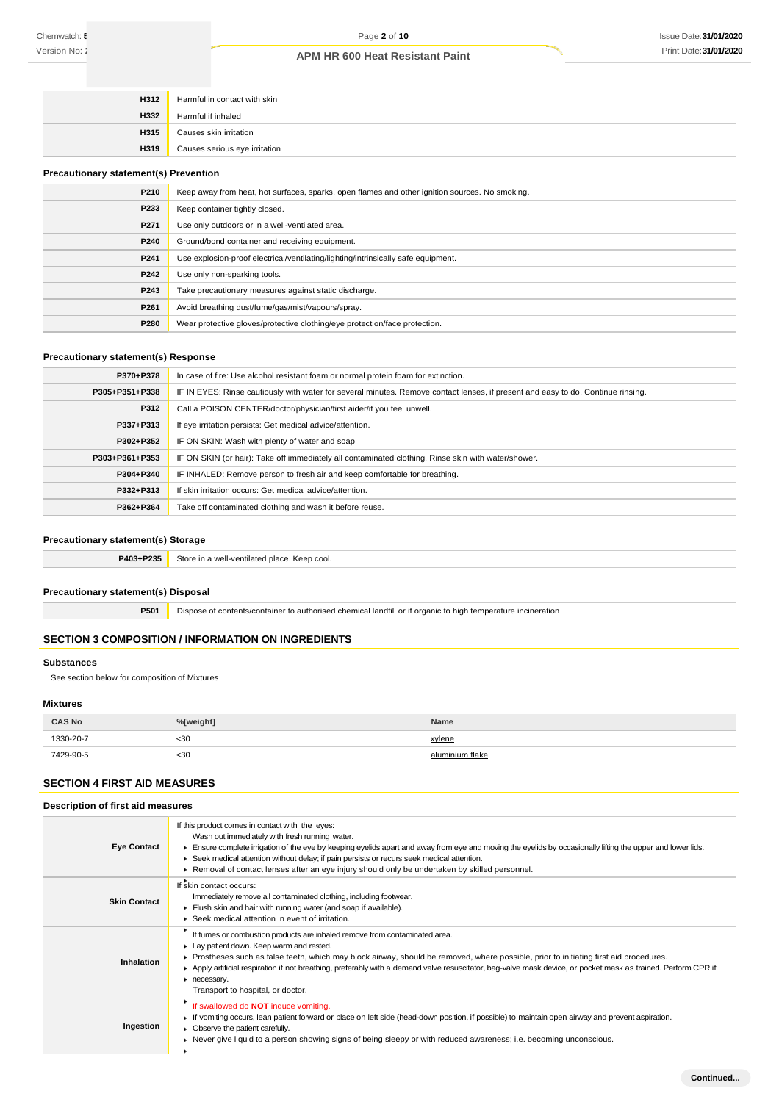| <b>H312</b> | Harmful in contact with skin  |
|-------------|-------------------------------|
| <b>H332</b> | Harmful if inhaled            |
| H315        | Causes skin irritation        |
| H319        | Causes serious eye irritation |

#### **Precautionary statement(s) Prevention**

| P210             | Keep away from heat, hot surfaces, sparks, open flames and other ignition sources. No smoking. |
|------------------|------------------------------------------------------------------------------------------------|
| P233             | Keep container tightly closed.                                                                 |
| P271             | Use only outdoors or in a well-ventilated area.                                                |
| P240             | Ground/bond container and receiving equipment.                                                 |
| P241             | Use explosion-proof electrical/ventilating/lighting/intrinsically safe equipment.              |
| P242             | Use only non-sparking tools.                                                                   |
| P243             | Take precautionary measures against static discharge.                                          |
| P <sub>261</sub> | Avoid breathing dust/fume/gas/mist/vapours/spray.                                              |
| P280             | Wear protective gloves/protective clothing/eye protection/face protection.                     |

## **Precautionary statement(s) Response**

| P370+P378      | In case of fire: Use alcohol resistant foam or normal protein foam for extinction.                                               |  |
|----------------|----------------------------------------------------------------------------------------------------------------------------------|--|
| P305+P351+P338 | IF IN EYES: Rinse cautiously with water for several minutes. Remove contact lenses, if present and easy to do. Continue rinsing. |  |
| P312           | Call a POISON CENTER/doctor/physician/first aider/if you feel unwell.                                                            |  |
| P337+P313      | If eye irritation persists: Get medical advice/attention.                                                                        |  |
| P302+P352      | IF ON SKIN: Wash with plenty of water and soap                                                                                   |  |
| P303+P361+P353 | IF ON SKIN (or hair): Take off immediately all contaminated clothing. Rinse skin with water/shower.                              |  |
| P304+P340      | IF INHALED: Remove person to fresh air and keep comfortable for breathing.                                                       |  |
| P332+P313      | If skin irritation occurs: Get medical advice/attention.                                                                         |  |
| P362+P364      | Take off contaminated clothing and wash it before reuse.                                                                         |  |

## **Precautionary statement(s) Storage**

| P403+P235 | Store<br>e in a well-ventilated place. Keep cool. I |
|-----------|-----------------------------------------------------|
|           |                                                     |

## **Precautionary statement(s) Disposal**

**P501** Dispose of contents/container to authorised chemical landfill or if organic to high temperature incineration

## **SECTION 3 COMPOSITION / INFORMATION ON INGREDIENTS**

#### **Substances**

See section below for composition of Mixtures

#### **Mixtures**

| <b>CAS No</b> | %[weight] | <b>Name</b>     |
|---------------|-----------|-----------------|
| 1330-20-7     | <30       | xylene          |
| 7429-90-5     | $30$      | aluminium flake |

## **SECTION 4 FIRST AID MEASURES**

| Description of first aid measures |                                                                                                                                                                                                                                                                                                                                                                                                                                                                                    |  |
|-----------------------------------|------------------------------------------------------------------------------------------------------------------------------------------------------------------------------------------------------------------------------------------------------------------------------------------------------------------------------------------------------------------------------------------------------------------------------------------------------------------------------------|--|
| <b>Eye Contact</b>                | If this product comes in contact with the eyes:<br>Wash out immediately with fresh running water.<br>Ensure complete irrigation of the eye by keeping eyelids apart and away from eye and moving the eyelids by occasionally lifting the upper and lower lids.<br>► Seek medical attention without delay; if pain persists or recurs seek medical attention.<br>▶ Removal of contact lenses after an eye injury should only be undertaken by skilled personnel.                    |  |
| <b>Skin Contact</b>               | If skin contact occurs:<br>Immediately remove all contaminated clothing, including footwear.<br>Flush skin and hair with running water (and soap if available).<br>▶ Seek medical attention in event of irritation.                                                                                                                                                                                                                                                                |  |
| Inhalation                        | If fumes or combustion products are inhaled remove from contaminated area.<br>Lay patient down. Keep warm and rested.<br>▶ Prostheses such as false teeth, which may block airway, should be removed, where possible, prior to initiating first aid procedures.<br>Apply artificial respiration if not breathing, preferably with a demand valve resuscitator, bag-valve mask device, or pocket mask as trained. Perform CPR if<br>necessary.<br>Transport to hospital, or doctor. |  |
| Ingestion                         | If swallowed do NOT induce vomiting.<br>• If vomiting occurs, lean patient forward or place on left side (head-down position, if possible) to maintain open airway and prevent aspiration.<br>• Observe the patient carefully.<br>▶ Never give liquid to a person showing signs of being sleepy or with reduced awareness; i.e. becoming unconscious.                                                                                                                              |  |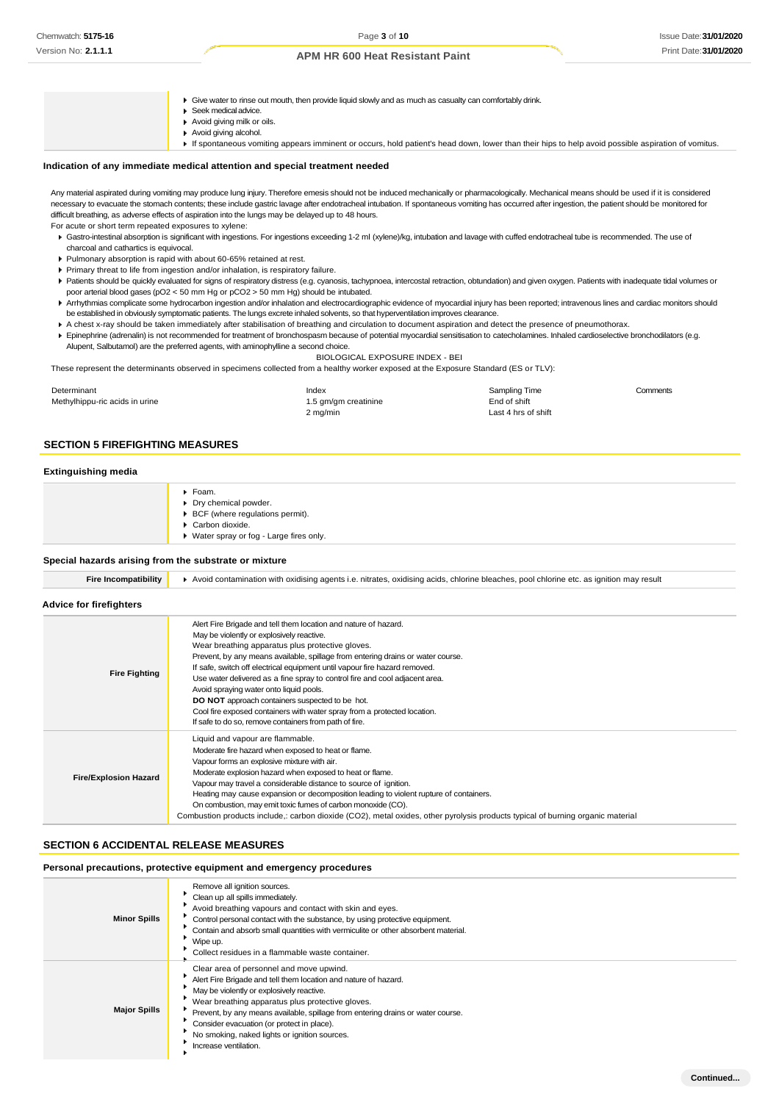Give water to rinse out mouth, then provide liquid slowly and as much as casualty can comfortably drink.

- Seek medical advice.  $\mathbf{F}$
- Avoid giving milk or oils.
- Avoid giving alcohol.

If spontaneous vomiting appears imminent or occurs, hold patient's head down, lower than their hips to help avoid possible aspiration of vomitus.

#### **Indication of any immediate medical attention and special treatment needed**

Any material aspirated during vomiting may produce lung injury. Therefore emesis should not be induced mechanically or pharmacologically. Mechanical means should be used if it is considered necessary to evacuate the stomach contents; these include gastric lavage after endotracheal intubation. If spontaneous vomiting has occurred after ingestion, the patient should be monitored for difficult breathing, as adverse effects of aspiration into the lungs may be delayed up to 48 hours.

For acute or short term repeated exposures to xylene:

- Gastro-intestinal absorption is significant with ingestions. For ingestions exceeding 1-2 ml (xylene)/kg, intubation and lavage with cuffed endotracheal tube is recommended. The use of charcoal and cathartics is equivocal.
- Pulmonary absorption is rapid with about 60-65% retained at rest.
- Primary threat to life from ingestion and/or inhalation, is respiratory failure.
- Patients should be quickly evaluated for signs of respiratory distress (e.g. cyanosis, tachypnoea, intercostal retraction, obtundation) and given oxygen. Patients with inadequate tidal volumes or poor arterial blood gases (pO2 < 50 mm Hg or pCO2 > 50 mm Hg) should be intubated.
- ▶ Arrhythmias complicate some hydrocarbon ingestion and/or inhalation and electrocardiographic evidence of myocardial injury has been reported; intravenous lines and cardiac monitors should be established in obviously symptomatic patients. The lungs excrete inhaled solvents, so that hyperventilation improves clearance.
- A chest x-ray should be taken immediately after stabilisation of breathing and circulation to document aspiration and detect the presence of pneumothorax.
- Epinephrine (adrenalin) is not recommended for treatment of bronchospasm because of potential myocardial sensitisation to catecholamines. Inhaled cardioselective bronchodilators (e.g. Alupent, Salbutamol) are the preferred agents, with aminophylline a second choice.

BIOLOGICAL EXPOSURE INDEX - BEI

These represent the determinants observed in specimens collected from a healthy worker exposed at the Exposure Standard (ES or TLV):

| Determinant                    | Index                | Sampling Time       | Comments |
|--------------------------------|----------------------|---------------------|----------|
| Methylhippu-ric acids in urine | 1.5 gm/gm creatinine | End of shift        |          |
|                                | 2 mg/min             | Last 4 hrs of shift |          |

## **SECTION 5 FIREFIGHTING MEASURES**

#### **Extinguishing media**

| Foam.<br>> Dry chemical powder.<br>▶ BCF (where regulations permit).<br>Carbon dioxide.<br>▶ Water spray or fog - Large fires only. |
|-------------------------------------------------------------------------------------------------------------------------------------|
|                                                                                                                                     |

#### **Special hazards arising from the substrate or mixture**

| <b>Fire Incompatibility</b> | Avoid contamination with oxidising agents i.e. nitrates, oxidising acids, chlorine bleaches, pool chlorine etc. as ignition may result |
|-----------------------------|----------------------------------------------------------------------------------------------------------------------------------------|
|-----------------------------|----------------------------------------------------------------------------------------------------------------------------------------|

#### **Advice for firefighters**

| <b>Fire Fighting</b>         | Alert Fire Brigade and tell them location and nature of hazard.<br>May be violently or explosively reactive.<br>Wear breathing apparatus plus protective gloves.<br>Prevent, by any means available, spillage from entering drains or water course.<br>If safe, switch off electrical equipment until vapour fire hazard removed.<br>Use water delivered as a fine spray to control fire and cool adjacent area.<br>Avoid spraying water onto liquid pools.             |
|------------------------------|-------------------------------------------------------------------------------------------------------------------------------------------------------------------------------------------------------------------------------------------------------------------------------------------------------------------------------------------------------------------------------------------------------------------------------------------------------------------------|
|                              | <b>DO NOT</b> approach containers suspected to be hot.<br>Cool fire exposed containers with water spray from a protected location.<br>If safe to do so, remove containers from path of fire.<br>Liquid and vapour are flammable.<br>Moderate fire hazard when exposed to heat or flame.                                                                                                                                                                                 |
| <b>Fire/Explosion Hazard</b> | Vapour forms an explosive mixture with air.<br>Moderate explosion hazard when exposed to heat or flame.<br>Vapour may travel a considerable distance to source of ignition.<br>Heating may cause expansion or decomposition leading to violent rupture of containers.<br>On combustion, may emit toxic fumes of carbon monoxide (CO).<br>Combustion products include,: carbon dioxide (CO2), metal oxides, other pyrolysis products typical of burning organic material |

## **SECTION 6 ACCIDENTAL RELEASE MEASURES**

## **Personal precautions, protective equipment and emergency procedures**

| <b>Minor Spills</b> | Remove all ignition sources.<br>Clean up all spills immediately.<br>Avoid breathing vapours and contact with skin and eyes.<br>Control personal contact with the substance, by using protective equipment.<br>Contain and absorb small quantities with vermiculite or other absorbent material.<br>Wipe up.<br>Collect residues in a flammable waste container.                                                         |
|---------------------|-------------------------------------------------------------------------------------------------------------------------------------------------------------------------------------------------------------------------------------------------------------------------------------------------------------------------------------------------------------------------------------------------------------------------|
| <b>Major Spills</b> | Clear area of personnel and move upwind.<br>Alert Fire Brigade and tell them location and nature of hazard.<br>May be violently or explosively reactive.<br>Wear breathing apparatus plus protective gloves.<br>Prevent, by any means available, spillage from entering drains or water course.<br>Consider evacuation (or protect in place).<br>No smoking, naked lights or ignition sources.<br>Increase ventilation. |

**Continued...**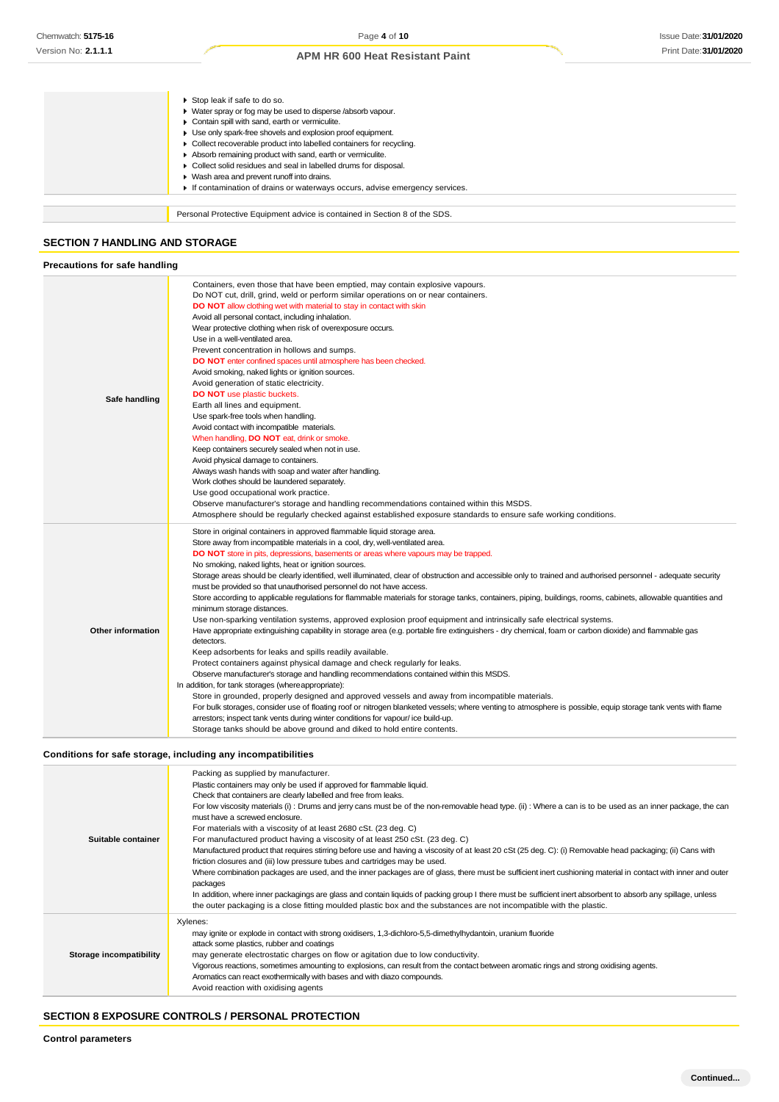| Stop leak if safe to do so.<br>• Water spray or fog may be used to disperse /absorb vapour.<br>Contain spill with sand, earth or vermiculite.<br>Use only spark-free shovels and explosion proof equipment.<br>▶ Collect recoverable product into labelled containers for recycling.<br>Absorb remaining product with sand, earth or vermiculite.<br>Collect solid residues and seal in labelled drums for disposal.<br>Wash area and prevent runoff into drains.<br>If contamination of drains or waterways occurs, advise emergency services. |
|-------------------------------------------------------------------------------------------------------------------------------------------------------------------------------------------------------------------------------------------------------------------------------------------------------------------------------------------------------------------------------------------------------------------------------------------------------------------------------------------------------------------------------------------------|
| Personal Protective Equipment advice is contained in Section 8 of the SDS.                                                                                                                                                                                                                                                                                                                                                                                                                                                                      |

## **SECTION 7 HANDLING AND STORAGE**

## **Precautions for safe handling**

| Safe handling            | Containers, even those that have been emptied, may contain explosive vapours.<br>Do NOT cut, drill, grind, weld or perform similar operations on or near containers.<br><b>DO NOT</b> allow clothing wet with material to stay in contact with skin<br>Avoid all personal contact, including inhalation.<br>Wear protective clothing when risk of overexposure occurs.<br>Use in a well-ventilated area.<br>Prevent concentration in hollows and sumps.<br>DO NOT enter confined spaces until atmosphere has been checked.<br>Avoid smoking, naked lights or ignition sources.<br>Avoid generation of static electricity.<br>DO NOT use plastic buckets.<br>Earth all lines and equipment.<br>Use spark-free tools when handling.<br>Avoid contact with incompatible materials.<br>When handling, DO NOT eat, drink or smoke.<br>Keep containers securely sealed when not in use.                                                                                                                                                                                                                                                                                                                                                                                                                                                                                                                                                                                                                                                                                                                                                                                                                                                                                      |
|--------------------------|------------------------------------------------------------------------------------------------------------------------------------------------------------------------------------------------------------------------------------------------------------------------------------------------------------------------------------------------------------------------------------------------------------------------------------------------------------------------------------------------------------------------------------------------------------------------------------------------------------------------------------------------------------------------------------------------------------------------------------------------------------------------------------------------------------------------------------------------------------------------------------------------------------------------------------------------------------------------------------------------------------------------------------------------------------------------------------------------------------------------------------------------------------------------------------------------------------------------------------------------------------------------------------------------------------------------------------------------------------------------------------------------------------------------------------------------------------------------------------------------------------------------------------------------------------------------------------------------------------------------------------------------------------------------------------------------------------------------------------------------------------------------|
|                          | Avoid physical damage to containers.<br>Always wash hands with soap and water after handling.<br>Work clothes should be laundered separately.<br>Use good occupational work practice.<br>Observe manufacturer's storage and handling recommendations contained within this MSDS.<br>Atmosphere should be regularly checked against established exposure standards to ensure safe working conditions.                                                                                                                                                                                                                                                                                                                                                                                                                                                                                                                                                                                                                                                                                                                                                                                                                                                                                                                                                                                                                                                                                                                                                                                                                                                                                                                                                                   |
| <b>Other information</b> | Store in original containers in approved flammable liquid storage area.<br>Store away from incompatible materials in a cool, dry, well-ventilated area.<br>DO NOT store in pits, depressions, basements or areas where vapours may be trapped.<br>No smoking, naked lights, heat or ignition sources.<br>Storage areas should be clearly identified, well illuminated, clear of obstruction and accessible only to trained and authorised personnel - adequate security<br>must be provided so that unauthorised personnel do not have access.<br>Store according to applicable regulations for flammable materials for storage tanks, containers, piping, buildings, rooms, cabinets, allowable quantities and<br>minimum storage distances.<br>Use non-sparking ventilation systems, approved explosion proof equipment and intrinsically safe electrical systems.<br>Have appropriate extinguishing capability in storage area (e.g. portable fire extinguishers - dry chemical, foam or carbon dioxide) and flammable gas<br>detectors.<br>Keep adsorbents for leaks and spills readily available.<br>Protect containers against physical damage and check regularly for leaks.<br>Observe manufacturer's storage and handling recommendations contained within this MSDS.<br>In addition, for tank storages (where appropriate):<br>Store in grounded, properly designed and approved vessels and away from incompatible materials.<br>For bulk storages, consider use of floating roof or nitrogen blanketed vessels; where venting to atmosphere is possible, equip storage tank vents with flame<br>arrestors; inspect tank vents during winter conditions for vapour/ice build-up.<br>Storage tanks should be above ground and diked to hold entire contents. |

## **Conditions for safe storage, including any incompatibilities**

| Suitable container      | Packing as supplied by manufacturer.<br>Plastic containers may only be used if approved for flammable liquid.<br>Check that containers are clearly labelled and free from leaks.<br>For low viscosity materials (i): Drums and jerry cans must be of the non-removable head type. (ii): Where a can is to be used as an inner package, the can<br>must have a screwed enclosure.<br>For materials with a viscosity of at least 2680 cSt. (23 deg. C)<br>For manufactured product having a viscosity of at least 250 cSt. (23 deg. C)<br>Manufactured product that requires stirring before use and having a viscosity of at least 20 cSt (25 deg. C): (i) Removable head packaging; (ii) Cans with<br>friction closures and (iii) low pressure tubes and cartridges may be used.<br>Where combination packages are used, and the inner packages are of glass, there must be sufficient inert cushioning material in contact with inner and outer<br>packages<br>In addition, where inner packagings are glass and contain liquids of packing group I there must be sufficient inert absorbent to absorb any spillage, unless<br>the outer packaging is a close fitting moulded plastic box and the substances are not incompatible with the plastic. |
|-------------------------|------------------------------------------------------------------------------------------------------------------------------------------------------------------------------------------------------------------------------------------------------------------------------------------------------------------------------------------------------------------------------------------------------------------------------------------------------------------------------------------------------------------------------------------------------------------------------------------------------------------------------------------------------------------------------------------------------------------------------------------------------------------------------------------------------------------------------------------------------------------------------------------------------------------------------------------------------------------------------------------------------------------------------------------------------------------------------------------------------------------------------------------------------------------------------------------------------------------------------------------------------|
| Storage incompatibility | Xylenes:<br>may ignite or explode in contact with strong oxidisers, 1,3-dichloro-5,5-dimethylhydantoin, uranium fluoride<br>attack some plastics, rubber and coatings<br>may generate electrostatic charges on flow or agitation due to low conductivity.<br>Vigorous reactions, sometimes amounting to explosions, can result from the contact between aromatic rings and strong oxidising agents.<br>Aromatics can react exothermically with bases and with diazo compounds.<br>Avoid reaction with oxidising agents                                                                                                                                                                                                                                                                                                                                                                                                                                                                                                                                                                                                                                                                                                                               |

## **SECTION 8 EXPOSURE CONTROLS / PERSONAL PROTECTION**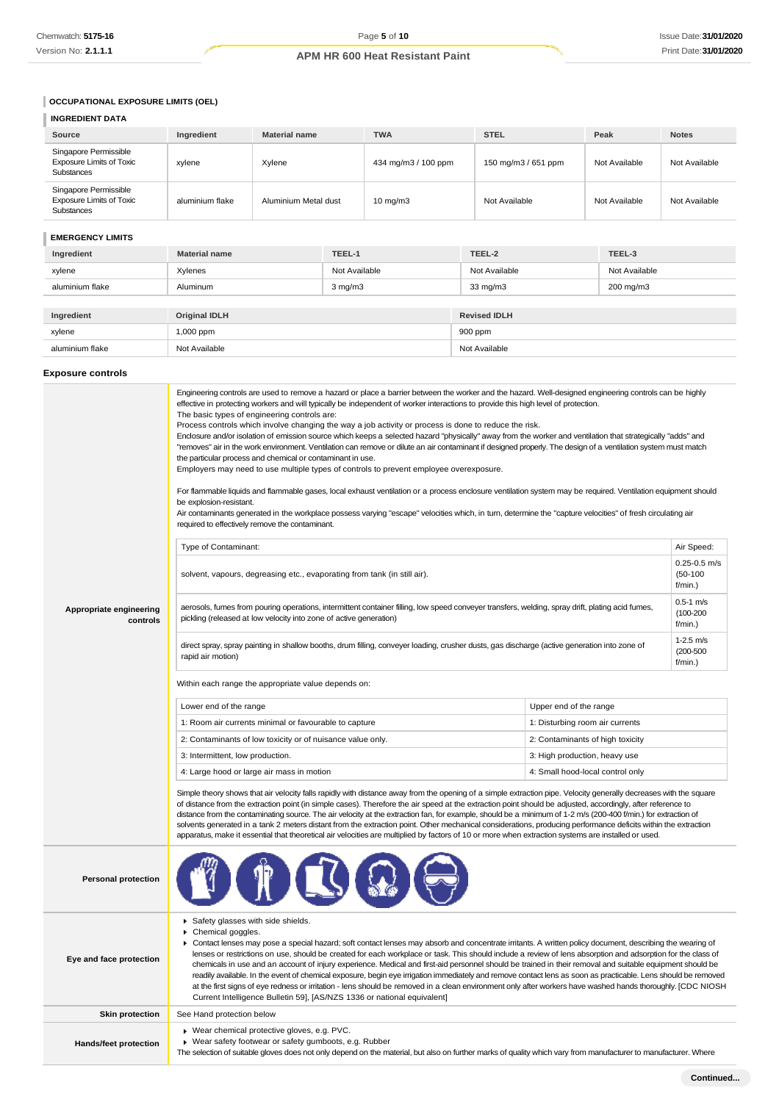## **OCCUPATIONAL EXPOSURE LIMITS (OEL)**

## **INGREDIENT DATA**

| Source                                                                 | Ingredient      | <b>Material name</b> | <b>TWA</b>          | <b>STEL</b>         | Peak          | <b>Notes</b>  |
|------------------------------------------------------------------------|-----------------|----------------------|---------------------|---------------------|---------------|---------------|
| Singapore Permissible<br><b>Exposure Limits of Toxic</b><br>Substances | xvlene          | Xylene               | 434 mg/m3 / 100 ppm | 150 mg/m3 / 651 ppm | Not Available | Not Available |
| Singapore Permissible<br><b>Exposure Limits of Toxic</b><br>Substances | aluminium flake | Aluminium Metal dust | $10 \text{ mg/m}$   | Not Available       | Not Available | Not Available |

## **EMERGENCY LIMITS**

| Ingredient      | <b>Material name</b> | TEEL-1        | TEEL-2              | TEEL-3        |
|-----------------|----------------------|---------------|---------------------|---------------|
| xylene          | Xylenes              | Not Available | Not Available       | Not Available |
| aluminium flake | Aluminum             | $3$ mg/m $3$  | $33 \text{ mg/m}$   | 200 mg/m3     |
|                 |                      |               |                     |               |
| Ingredient      | <b>Original IDLH</b> |               | <b>Revised IDLH</b> |               |
| xylene          | 1,000 ppm            |               | 900 ppm             |               |
| aluminium flake | Not Available        |               | Not Available       |               |

## **Exposure controls**

|                                                                                                                                                                   | Engineering controls are used to remove a hazard or place a barrier between the worker and the hazard. Well-designed engineering controls can be highly<br>effective in protecting workers and will typically be independent of worker interactions to provide this high level of protection.<br>The basic types of engineering controls are:<br>Process controls which involve changing the way a job activity or process is done to reduce the risk.<br>Enclosure and/or isolation of emission source which keeps a selected hazard "physically" away from the worker and ventilation that strategically "adds" and<br>"removes" air in the work environment. Ventilation can remove or dilute an air contaminant if designed properly. The design of a ventilation system must match<br>the particular process and chemical or contaminant in use.<br>Employers may need to use multiple types of controls to prevent employee overexposure.<br>For flammable liquids and flammable gases, local exhaust ventilation or a process enclosure ventilation system may be required. Ventilation equipment should<br>be explosion-resistant.<br>Air contaminants generated in the workplace possess varying "escape" velocities which, in turn, determine the "capture velocities" of fresh circulating air<br>required to effectively remove the contaminant. |                                  |                                            |  |
|-------------------------------------------------------------------------------------------------------------------------------------------------------------------|--------------------------------------------------------------------------------------------------------------------------------------------------------------------------------------------------------------------------------------------------------------------------------------------------------------------------------------------------------------------------------------------------------------------------------------------------------------------------------------------------------------------------------------------------------------------------------------------------------------------------------------------------------------------------------------------------------------------------------------------------------------------------------------------------------------------------------------------------------------------------------------------------------------------------------------------------------------------------------------------------------------------------------------------------------------------------------------------------------------------------------------------------------------------------------------------------------------------------------------------------------------------------------------------------------------------------------------------------------------|----------------------------------|--------------------------------------------|--|
|                                                                                                                                                                   |                                                                                                                                                                                                                                                                                                                                                                                                                                                                                                                                                                                                                                                                                                                                                                                                                                                                                                                                                                                                                                                                                                                                                                                                                                                                                                                                                              |                                  | Air Speed:                                 |  |
|                                                                                                                                                                   | Type of Contaminant:<br>solvent, vapours, degreasing etc., evaporating from tank (in still air).                                                                                                                                                                                                                                                                                                                                                                                                                                                                                                                                                                                                                                                                                                                                                                                                                                                                                                                                                                                                                                                                                                                                                                                                                                                             |                                  | $0.25 - 0.5$ m/s<br>$(50-100)$<br>f/min.)  |  |
| Appropriate engineering<br>controls                                                                                                                               | aerosols, fumes from pouring operations, intermittent container filling, low speed conveyer transfers, welding, spray drift, plating acid fumes,<br>pickling (released at low velocity into zone of active generation)                                                                                                                                                                                                                                                                                                                                                                                                                                                                                                                                                                                                                                                                                                                                                                                                                                                                                                                                                                                                                                                                                                                                       |                                  | $0.5 - 1$ m/s<br>$(100 - 200)$<br>f/min.)  |  |
| direct spray, spray painting in shallow booths, drum filling, conveyer loading, crusher dusts, gas discharge (active generation into zone of<br>rapid air motion) |                                                                                                                                                                                                                                                                                                                                                                                                                                                                                                                                                                                                                                                                                                                                                                                                                                                                                                                                                                                                                                                                                                                                                                                                                                                                                                                                                              |                                  | $1-2.5$ m/s<br>$(200 - 500)$<br>$f/min.$ ) |  |
|                                                                                                                                                                   | Within each range the appropriate value depends on:                                                                                                                                                                                                                                                                                                                                                                                                                                                                                                                                                                                                                                                                                                                                                                                                                                                                                                                                                                                                                                                                                                                                                                                                                                                                                                          |                                  |                                            |  |
|                                                                                                                                                                   | Lower end of the range<br>Upper end of the range                                                                                                                                                                                                                                                                                                                                                                                                                                                                                                                                                                                                                                                                                                                                                                                                                                                                                                                                                                                                                                                                                                                                                                                                                                                                                                             |                                  |                                            |  |
|                                                                                                                                                                   | 1: Room air currents minimal or favourable to capture                                                                                                                                                                                                                                                                                                                                                                                                                                                                                                                                                                                                                                                                                                                                                                                                                                                                                                                                                                                                                                                                                                                                                                                                                                                                                                        | 1: Disturbing room air currents  |                                            |  |
|                                                                                                                                                                   | 2: Contaminants of low toxicity or of nuisance value only.                                                                                                                                                                                                                                                                                                                                                                                                                                                                                                                                                                                                                                                                                                                                                                                                                                                                                                                                                                                                                                                                                                                                                                                                                                                                                                   | 2: Contaminants of high toxicity |                                            |  |
|                                                                                                                                                                   | 3: Intermittent, low production.                                                                                                                                                                                                                                                                                                                                                                                                                                                                                                                                                                                                                                                                                                                                                                                                                                                                                                                                                                                                                                                                                                                                                                                                                                                                                                                             | 3: High production, heavy use    |                                            |  |
|                                                                                                                                                                   | 4: Large hood or large air mass in motion                                                                                                                                                                                                                                                                                                                                                                                                                                                                                                                                                                                                                                                                                                                                                                                                                                                                                                                                                                                                                                                                                                                                                                                                                                                                                                                    | 4: Small hood-local control only |                                            |  |
|                                                                                                                                                                   | Simple theory shows that air velocity falls rapidly with distance away from the opening of a simple extraction pipe. Velocity generally decreases with the square<br>of distance from the extraction point (in simple cases). Therefore the air speed at the extraction point should be adjusted, accordingly, after reference to<br>distance from the contaminating source. The air velocity at the extraction fan, for example, should be a minimum of 1-2 m/s (200-400 f/min.) for extraction of<br>solvents generated in a tank 2 meters distant from the extraction point. Other mechanical considerations, producing performance deficits within the extraction<br>apparatus, make it essential that theoretical air velocities are multiplied by factors of 10 or more when extraction systems are installed or used.                                                                                                                                                                                                                                                                                                                                                                                                                                                                                                                                 |                                  |                                            |  |
| <b>Personal protection</b>                                                                                                                                        |                                                                                                                                                                                                                                                                                                                                                                                                                                                                                                                                                                                                                                                                                                                                                                                                                                                                                                                                                                                                                                                                                                                                                                                                                                                                                                                                                              |                                  |                                            |  |
| Eye and face protection                                                                                                                                           | Safety glasses with side shields.<br>Chemical goggles.<br>▶ Contact lenses may pose a special hazard; soft contact lenses may absorb and concentrate irritants. A written policy document, describing the wearing of<br>lenses or restrictions on use, should be created for each workplace or task. This should include a review of lens absorption and adsorption for the class of<br>chemicals in use and an account of injury experience. Medical and first-aid personnel should be trained in their removal and suitable equipment should be<br>readily available. In the event of chemical exposure, begin eye irrigation immediately and remove contact lens as soon as practicable. Lens should be removed<br>at the first signs of eye redness or irritation - lens should be removed in a clean environment only after workers have washed hands thoroughly. [CDC NIOSH<br>Current Intelligence Bulletin 59], [AS/NZS 1336 or national equivalent]                                                                                                                                                                                                                                                                                                                                                                                                 |                                  |                                            |  |
| <b>Skin protection</b>                                                                                                                                            | See Hand protection below                                                                                                                                                                                                                                                                                                                                                                                                                                                                                                                                                                                                                                                                                                                                                                                                                                                                                                                                                                                                                                                                                                                                                                                                                                                                                                                                    |                                  |                                            |  |
| Hands/feet protection                                                                                                                                             | ▶ Wear chemical protective gloves, e.g. PVC.<br>Wear safety footwear or safety gumboots, e.g. Rubber<br>The selection of suitable gloves does not only depend on the material, but also on further marks of quality which vary from manufacturer to manufacturer. Where                                                                                                                                                                                                                                                                                                                                                                                                                                                                                                                                                                                                                                                                                                                                                                                                                                                                                                                                                                                                                                                                                      |                                  |                                            |  |
|                                                                                                                                                                   |                                                                                                                                                                                                                                                                                                                                                                                                                                                                                                                                                                                                                                                                                                                                                                                                                                                                                                                                                                                                                                                                                                                                                                                                                                                                                                                                                              |                                  |                                            |  |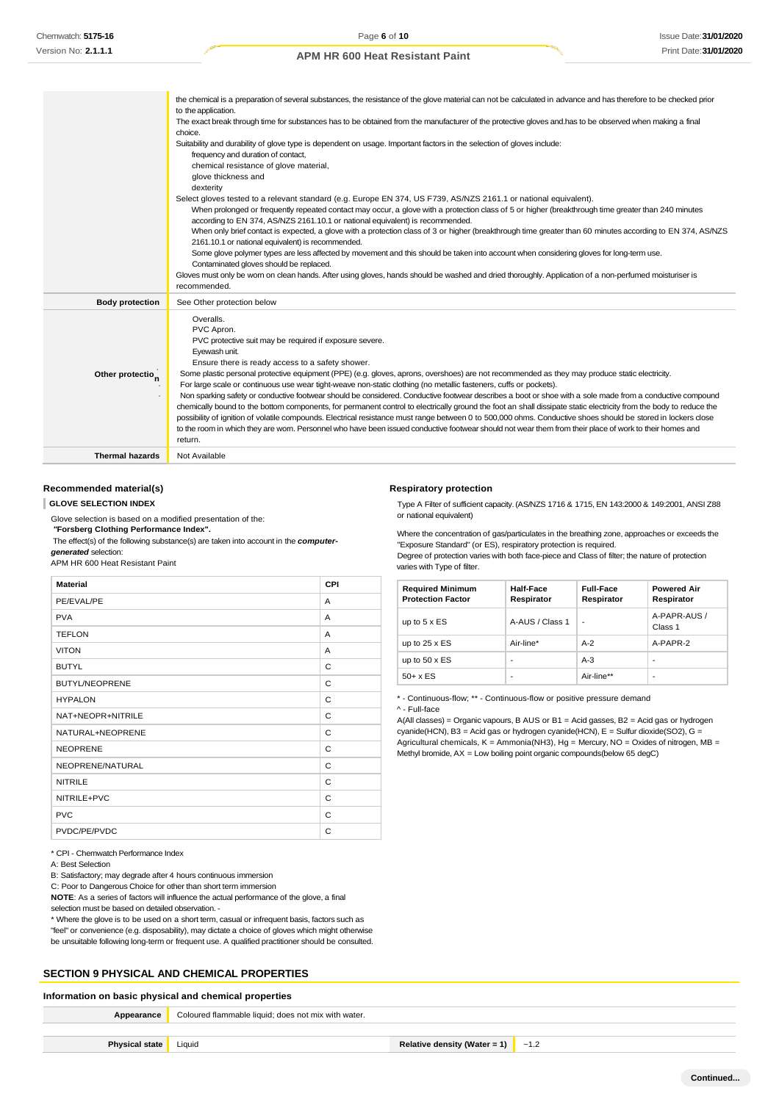|                              | the chemical is a preparation of several substances, the resistance of the glove material can not be calculated in advance and has therefore to be checked prior<br>to the application.<br>The exact break through time for substances has to be obtained from the manufacturer of the protective gloves and has to be observed when making a final<br>choice.<br>Suitability and durability of glove type is dependent on usage. Important factors in the selection of gloves include:<br>frequency and duration of contact,<br>chemical resistance of glove material,<br>glove thickness and<br>dexterity<br>Select gloves tested to a relevant standard (e.g. Europe EN 374, US F739, AS/NZS 2161.1 or national equivalent).<br>When prolonged or frequently repeated contact may occur, a glove with a protection class of 5 or higher (breakthrough time greater than 240 minutes<br>according to EN 374, AS/NZS 2161.10.1 or national equivalent) is recommended.<br>When only brief contact is expected, a glove with a protection class of 3 or higher (breakthrough time greater than 60 minutes according to EN 374, AS/NZS<br>2161.10.1 or national equivalent) is recommended.<br>Some glove polymer types are less affected by movement and this should be taken into account when considering gloves for long-term use.<br>Contaminated gloves should be replaced.<br>Gloves must only be wom on clean hands. After using gloves, hands should be washed and dried thoroughly. Application of a non-perfumed moisturiser is |
|------------------------------|-------------------------------------------------------------------------------------------------------------------------------------------------------------------------------------------------------------------------------------------------------------------------------------------------------------------------------------------------------------------------------------------------------------------------------------------------------------------------------------------------------------------------------------------------------------------------------------------------------------------------------------------------------------------------------------------------------------------------------------------------------------------------------------------------------------------------------------------------------------------------------------------------------------------------------------------------------------------------------------------------------------------------------------------------------------------------------------------------------------------------------------------------------------------------------------------------------------------------------------------------------------------------------------------------------------------------------------------------------------------------------------------------------------------------------------------------------------------------------------------------------------------------------------------|
| <b>Body protection</b>       | recommended.<br>See Other protection below                                                                                                                                                                                                                                                                                                                                                                                                                                                                                                                                                                                                                                                                                                                                                                                                                                                                                                                                                                                                                                                                                                                                                                                                                                                                                                                                                                                                                                                                                                |
| Other protectio <sub>n</sub> | Overalls.<br>PVC Apron.<br>PVC protective suit may be required if exposure severe.<br>Eyewash unit.<br>Ensure there is ready access to a safety shower.<br>Some plastic personal protective equipment (PPE) (e.g. gloves, aprons, overshoes) are not recommended as they may produce static electricity.<br>For large scale or continuous use wear tight-weave non-static clothing (no metallic fasteners, cuffs or pockets).<br>Non sparking safety or conductive footwear should be considered. Conductive footwear describes a boot or shoe with a sole made from a conductive compound<br>chemically bound to the bottom components, for permanent control to electrically ground the foot an shall dissipate static electricity from the body to reduce the<br>possibility of ignition of volatile compounds. Electrical resistance must range between 0 to 500,000 ohms. Conductive shoes should be stored in lockers close<br>to the room in which they are worn. Personnel who have been issued conductive footwear should not wear them from their place of work to their homes and<br>return.                                                                                                                                                                                                                                                                                                                                                                                                                                   |
| <b>Thermal hazards</b>       | Not Available                                                                                                                                                                                                                                                                                                                                                                                                                                                                                                                                                                                                                                                                                                                                                                                                                                                                                                                                                                                                                                                                                                                                                                                                                                                                                                                                                                                                                                                                                                                             |

## **Recommended material(s)**

**GLOVE SELECTION INDEX**

Glove selection is based on a modified presentation of the:

*"***Forsberg Clothing Performance Index".**

The effect(s) of the following substance(s) are taken into account in the *computergenerated* selection:

APM HR 600 Heat Resistant Paint

| <b>Material</b>       | CPI |
|-----------------------|-----|
| PE/EVAL/PE            | A   |
| <b>PVA</b>            | A   |
| <b>TEFLON</b>         | A   |
| <b>VITON</b>          | A   |
| <b>BUTYL</b>          | C   |
| <b>BUTYL/NEOPRENE</b> | C   |
| <b>HYPALON</b>        | C   |
| NAT+NEOPR+NITRILE     | C   |
| NATURAL+NEOPRENE      | C   |
| <b>NEOPRENE</b>       | C   |
| NEOPRENE/NATURAL      | C   |
| <b>NITRILE</b>        | C   |
| NITRILE+PVC           | C   |
| <b>PVC</b>            | C   |
| PVDC/PE/PVDC          | C   |

\* CPI - Chemwatch Performance Index

A: Best Selection

B: Satisfactory; may degrade after 4 hours continuous immersion

C: Poor to Dangerous Choice for other than short term immersion

**NOTE**: As a series of factors will influence the actual performance of the glove, a final selection must be based on detailed observation. -

\* Where the glove is to be used on a short term, casual or infrequent basis, factors such as "feel" or convenience (e.g. disposability), may dictate a choice of gloves which might otherwise be unsuitable following long-term or frequent use. A qualified practitioner should be consulted.

#### **SECTION 9 PHYSICAL AND CHEMICAL PROPERTIES**

## **Information on basic physical and chemical properties**

| Appearance            | Coloured flammable liquid; does not mix with water. |                                              |  |
|-----------------------|-----------------------------------------------------|----------------------------------------------|--|
|                       |                                                     |                                              |  |
| <b>Physical state</b> | Liquid                                              | Relative density (Water = 1) $\sqrt{ }$ ~1.2 |  |

#### **Respiratory protection**

Type A Filter of sufficient capacity. (AS/NZS 1716 & 1715, EN 143:2000 & 149:2001, ANSI Z88 or national equivalent)

Where the concentration of gas/particulates in the breathing zone, approaches or exceeds the "Exposure Standard" (or ES), respiratory protection is required.

Degree of protection varies with both face-piece and Class of filter; the nature of protection varies with Type of filter.

| <b>Required Minimum</b><br><b>Protection Factor</b> | Half-Face<br>Respirator | <b>Full-Face</b><br>Respirator | <b>Powered Air</b><br>Respirator |
|-----------------------------------------------------|-------------------------|--------------------------------|----------------------------------|
| up to $5 \times ES$                                 | A-AUS / Class 1         | ٠                              | A-PAPR-AUS /<br>Class 1          |
| up to $25 \times ES$                                | Air-line*               | $A-2$                          | A-PAPR-2                         |
| up to $50 \times ES$                                | -                       | $A-3$                          | -                                |
| $50+ x ES$                                          | -                       | Air-line**                     | ٠                                |

\* - Continuous-flow; \*\* - Continuous-flow or positive pressure demand

^ - Full-face

A(All classes) = Organic vapours, B AUS or B1 = Acid gasses, B2 = Acid gas or hydrogen  $cyanide(HCN)$ , B3 = Acid gas or hydrogen cyanide(HCN), E = Sulfur dioxide(SO2), G = Agricultural chemicals,  $K =$  Ammonia(NH3), Hg = Mercury, NO = Oxides of nitrogen, MB = Methyl bromide, AX = Low boiling point organic compounds(below 65 degC)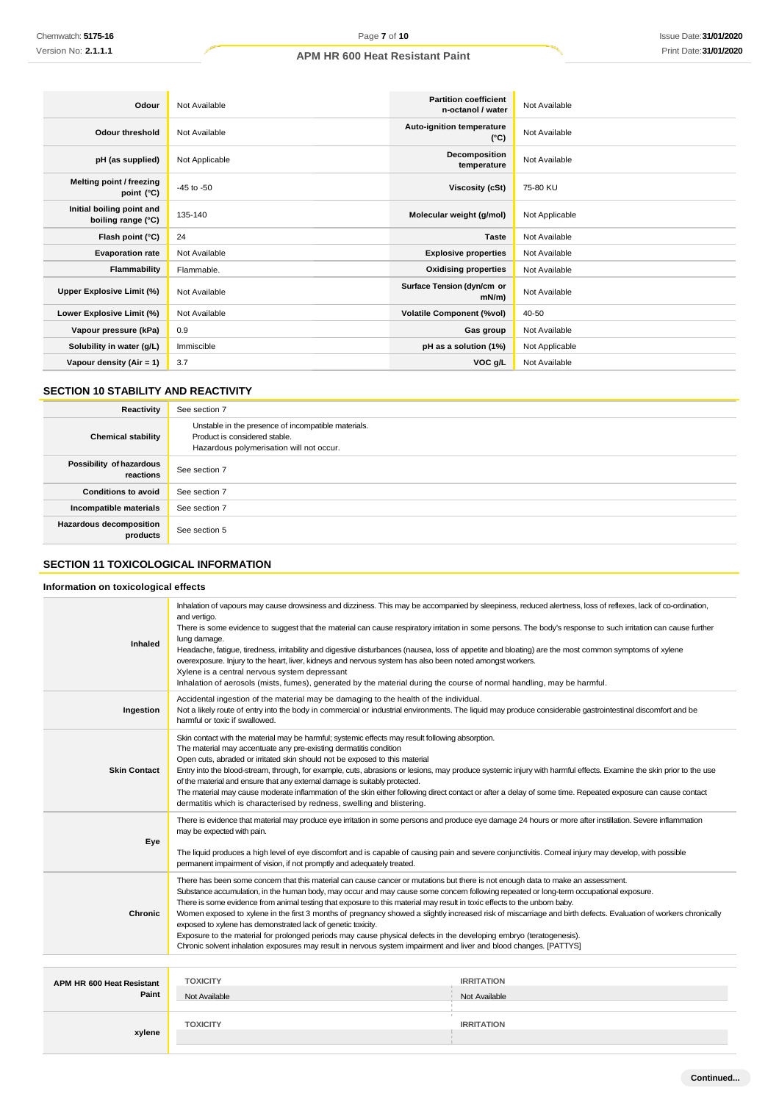| Odour                                           | Not Available  | <b>Partition coefficient</b><br>n-octanol / water | Not Available  |
|-------------------------------------------------|----------------|---------------------------------------------------|----------------|
| <b>Odour threshold</b>                          | Not Available  | Auto-ignition temperature<br>$(^{\circ}C)$        | Not Available  |
| pH (as supplied)                                | Not Applicable | Decomposition<br>temperature                      | Not Available  |
| Melting point / freezing<br>point $(^{\circ}C)$ | $-45$ to $-50$ | Viscosity (cSt)                                   | 75-80 KU       |
| Initial boiling point and<br>boiling range (°C) | 135-140        | Molecular weight (g/mol)                          | Not Applicable |
| Flash point (°C)                                | 24             | <b>Taste</b>                                      | Not Available  |
| <b>Evaporation rate</b>                         | Not Available  | <b>Explosive properties</b>                       | Not Available  |
| Flammability                                    | Flammable.     | <b>Oxidising properties</b>                       | Not Available  |
| Upper Explosive Limit (%)                       | Not Available  | Surface Tension (dyn/cm or<br>$mN/m$ )            | Not Available  |
| Lower Explosive Limit (%)                       | Not Available  | <b>Volatile Component (%vol)</b>                  | 40-50          |
| Vapour pressure (kPa)                           | 0.9            | Gas group                                         | Not Available  |
| Solubility in water (g/L)                       | Immiscible     | pH as a solution (1%)                             | Not Applicable |
| Vapour density $(Air = 1)$                      | 3.7            | VOC g/L                                           | Not Available  |

## **SECTION 10 STABILITY AND REACTIVITY**

| Reactivity                            | See section 7                                                                                                                    |  |
|---------------------------------------|----------------------------------------------------------------------------------------------------------------------------------|--|
| <b>Chemical stability</b>             | Unstable in the presence of incompatible materials.<br>Product is considered stable.<br>Hazardous polymerisation will not occur. |  |
| Possibility of hazardous<br>reactions | See section 7                                                                                                                    |  |
| <b>Conditions to avoid</b>            | See section 7                                                                                                                    |  |
| Incompatible materials                | See section 7                                                                                                                    |  |
| Hazardous decomposition<br>products   | See section 5                                                                                                                    |  |

## **SECTION 11 TOXICOLOGICAL INFORMATION**

## **Information on toxicological effects**

| <b>Inhaled</b>                     | Inhalation of vapours may cause drowsiness and dizziness. This may be accompanied by sleepiness, reduced alertness, loss of reflexes, lack of co-ordination,<br>and vertigo.<br>There is some evidence to suggest that the material can cause respiratory irritation in some persons. The body's response to such irritation can cause further<br>lung damage.<br>Headache, fatigue, tiredness, irritability and digestive disturbances (nausea, loss of appetite and bloating) are the most common symptoms of xylene<br>overexposure. Injury to the heart, liver, kidneys and nervous system has also been noted amongst workers.<br>Xylene is a central nervous system depressant<br>Inhalation of aerosols (mists, fumes), generated by the material during the course of normal handling, may be harmful.                                                                         |                                    |  |
|------------------------------------|----------------------------------------------------------------------------------------------------------------------------------------------------------------------------------------------------------------------------------------------------------------------------------------------------------------------------------------------------------------------------------------------------------------------------------------------------------------------------------------------------------------------------------------------------------------------------------------------------------------------------------------------------------------------------------------------------------------------------------------------------------------------------------------------------------------------------------------------------------------------------------------|------------------------------------|--|
| Ingestion                          | Accidental ingestion of the material may be damaging to the health of the individual.<br>Not a likely route of entry into the body in commercial or industrial environments. The liquid may produce considerable gastrointestinal discomfort and be<br>harmful or toxic if swallowed.                                                                                                                                                                                                                                                                                                                                                                                                                                                                                                                                                                                                  |                                    |  |
| <b>Skin Contact</b>                | Skin contact with the material may be harmful; systemic effects may result following absorption.<br>The material may accentuate any pre-existing dermatitis condition<br>Open cuts, abraded or irritated skin should not be exposed to this material<br>Entry into the blood-stream, through, for example, cuts, abrasions or lesions, may produce systemic injury with harmful effects. Examine the skin prior to the use<br>of the material and ensure that any external damage is suitably protected.<br>The material may cause moderate inflammation of the skin either following direct contact or after a delay of some time. Repeated exposure can cause contact<br>dermatitis which is characterised by redness, swelling and blistering.                                                                                                                                      |                                    |  |
| Eye                                | There is evidence that material may produce eye irritation in some persons and produce eye damage 24 hours or more after instillation. Severe inflammation<br>may be expected with pain.<br>The liquid produces a high level of eye discomfort and is capable of causing pain and severe conjunctivitis. Comeal injury may develop, with possible<br>permanent impairment of vision, if not promptly and adequately treated.                                                                                                                                                                                                                                                                                                                                                                                                                                                           |                                    |  |
| <b>Chronic</b>                     | There has been some concern that this material can cause cancer or mutations but there is not enough data to make an assessment.<br>Substance accumulation, in the human body, may occur and may cause some concern following repeated or long-term occupational exposure.<br>There is some evidence from animal testing that exposure to this material may result in toxic effects to the unbom baby.<br>Women exposed to xylene in the first 3 months of pregnancy showed a slightly increased risk of miscarriage and birth defects. Evaluation of workers chronically<br>exposed to xylene has demonstrated lack of genetic toxicity.<br>Exposure to the material for prolonged periods may cause physical defects in the developing embryo (teratogenesis).<br>Chronic solvent inhalation exposures may result in nervous system impairment and liver and blood changes. [PATTYS] |                                    |  |
|                                    |                                                                                                                                                                                                                                                                                                                                                                                                                                                                                                                                                                                                                                                                                                                                                                                                                                                                                        |                                    |  |
| APM HR 600 Heat Resistant<br>Paint | <b>TOXICITY</b><br>Not Available                                                                                                                                                                                                                                                                                                                                                                                                                                                                                                                                                                                                                                                                                                                                                                                                                                                       | <b>IRRITATION</b><br>Not Available |  |
| xylene                             | <b>TOXICITY</b>                                                                                                                                                                                                                                                                                                                                                                                                                                                                                                                                                                                                                                                                                                                                                                                                                                                                        | <b>IRRITATION</b>                  |  |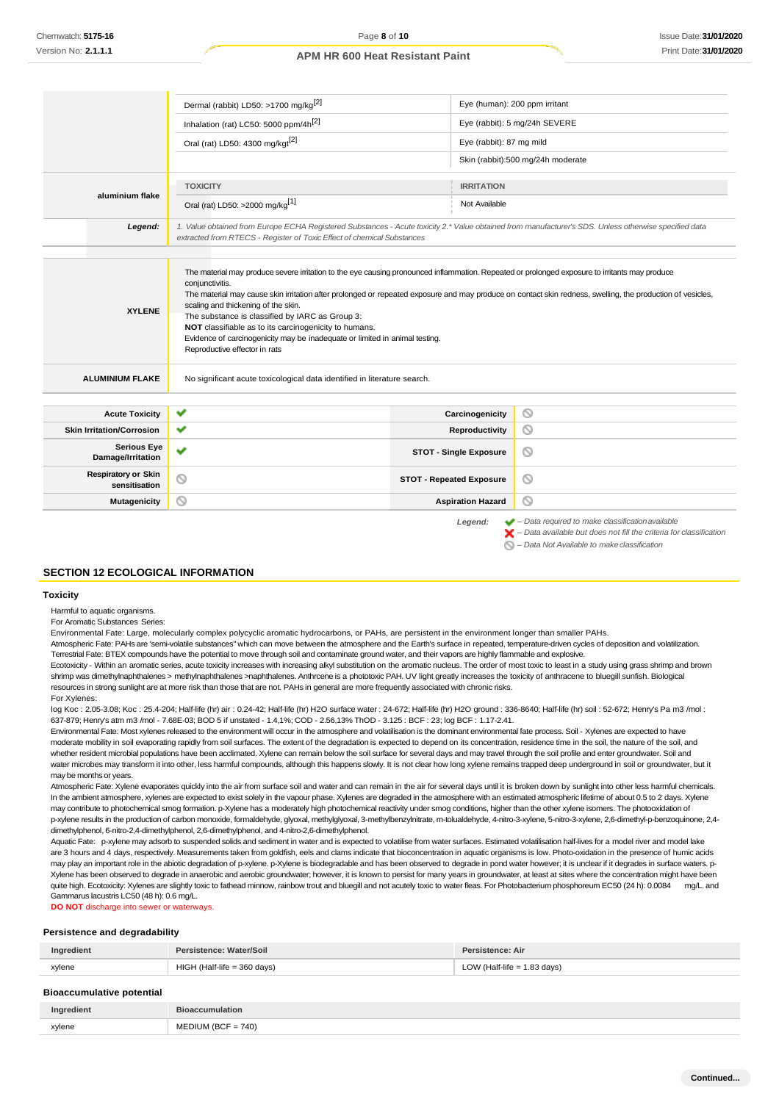|                                                                  | Dermal (rabbit) LD50: >1700 mg/kg <sup>[2]</sup>                                                                                                                                                                                                                                                                                                 |                                 | Eye (human): 200 ppm irritant                                                                                                                                                                                                |
|------------------------------------------------------------------|--------------------------------------------------------------------------------------------------------------------------------------------------------------------------------------------------------------------------------------------------------------------------------------------------------------------------------------------------|---------------------------------|------------------------------------------------------------------------------------------------------------------------------------------------------------------------------------------------------------------------------|
| Inhalation (rat) LC50: 5000 ppm/4h <sup>[2]</sup>                |                                                                                                                                                                                                                                                                                                                                                  |                                 | Eye (rabbit): 5 mg/24h SEVERE                                                                                                                                                                                                |
| Oral (rat) LD50: 4300 mg/kgt <sup>[2]</sup>                      |                                                                                                                                                                                                                                                                                                                                                  | Eye (rabbit): 87 mg mild        |                                                                                                                                                                                                                              |
|                                                                  |                                                                                                                                                                                                                                                                                                                                                  |                                 | Skin (rabbit):500 mg/24h moderate                                                                                                                                                                                            |
|                                                                  | <b>TOXICITY</b>                                                                                                                                                                                                                                                                                                                                  | <b>IRRITATION</b>               |                                                                                                                                                                                                                              |
| aluminium flake                                                  |                                                                                                                                                                                                                                                                                                                                                  | Not Available                   |                                                                                                                                                                                                                              |
|                                                                  | Oral (rat) LD50: >2000 mg/kg <sup>[1]</sup>                                                                                                                                                                                                                                                                                                      |                                 |                                                                                                                                                                                                                              |
| Legend:                                                          | 1. Value obtained from Europe ECHA Registered Substances - Acute toxicity 2.* Value obtained from manufacturer's SDS. Unless otherwise specified data<br>extracted from RTECS - Register of Toxic Effect of chemical Substances                                                                                                                  |                                 |                                                                                                                                                                                                                              |
| <b>XYLENE</b><br><b>ALUMINIUM FLAKE</b><br><b>Acute Toxicity</b> | scaling and thickening of the skin.<br>The substance is classified by IARC as Group 3:<br>NOT classifiable as to its carcinogenicity to humans.<br>Evidence of carcinogenicity may be inadequate or limited in animal testing.<br>Reproductive effector in rats<br>No significant acute toxicological data identified in literature search.<br>✔ | Carcinogenicity                 | ◎                                                                                                                                                                                                                            |
|                                                                  | ✓                                                                                                                                                                                                                                                                                                                                                |                                 | O                                                                                                                                                                                                                            |
| <b>Skin Irritation/Corrosion</b>                                 |                                                                                                                                                                                                                                                                                                                                                  | Reproductivity                  |                                                                                                                                                                                                                              |
| <b>Serious Eye</b><br>Damage/Irritation                          | v                                                                                                                                                                                                                                                                                                                                                | <b>STOT - Single Exposure</b>   | ◎                                                                                                                                                                                                                            |
| <b>Respiratory or Skin</b><br>sensitisation                      | Q                                                                                                                                                                                                                                                                                                                                                | <b>STOT - Repeated Exposure</b> | O                                                                                                                                                                                                                            |
| <b>Mutagenicity</b>                                              | ◎                                                                                                                                                                                                                                                                                                                                                | <b>Aspiration Hazard</b>        | ◎                                                                                                                                                                                                                            |
|                                                                  |                                                                                                                                                                                                                                                                                                                                                  | Legend:                         | $\blacktriangleright$ - Data required to make classification available<br>$\blacktriangleright$ - Data available but does not fill the criteria for classification<br>$\bigcirc$ – Data Not Available to make classification |

#### **SECTION 12 ECOLOGICAL INFORMATION**

#### **Toxicity**

Harmful to aquatic organisms.

For Aromatic Substances Series:

Environmental Fate: Large, molecularly complex polycyclic aromatic hydrocarbons, or PAHs, are persistent in the environment longer than smaller PAHs.

Atmospheric Fate: PAHs are 'semi-volatile substances" which can move between the atmosphere and the Earth's surface in repeated, temperature-driven cycles of deposition and volatilization. Terrestrial Fate: BTEX compounds have the potential to move through soil and contaminate ground water, and their vapors are highly flammable and explosive.

Ecotoxicity - Within an aromatic series, acute toxicity increases with increasing alkyl substitution on the aromatic nucleus. The order of most toxic to least in a study using grass shrimp and brown shrimp was dimethylnaphthalenes > methylnaphthalenes >naphthalenes. Anthrcene is a phototoxic PAH. UV light greatly increases the toxicity of anthracene to bluegill sunfish. Biological resources in strong sunlight are at more risk than those that are not. PAHs in general are more frequently associated with chronic risks. For Xylenes:

log Koc : 2.05-3.08; Koc : 25.4-204; Half-life (hr) air : 0.24-42; Half-life (hr) H2O surface water : 24-672; Half-life (hr) H2O ground : 336-8640; Half-life (hr) soil : 52-672; Henry's Pa m3 /mol : 637-879; Henry's atm m3 /mol - 7.68E-03; BOD 5 if unstated - 1.4,1%; COD - 2.56,13% ThOD - 3.125 : BCF : 23; log BCF : 1.17-2.41.

Environmental Fate: Most xylenes released to the environment will occur in the atmosphere and volatilisation is the dominant environmental fate process. Soil - Xylenes are expected to have moderate mobility in soil evaporating rapidly from soil surfaces. The extent of the degradation is expected to depend on its concentration, residence time in the soil, the nature of the soil, and whether resident microbial populations have been acclimated. Xylene can remain below the soil surface for several days and may travel through the soil profile and enter groundwater. Soil and water microbes may transform it into other, less harmful compounds, although this happens slowly. It is not clear how long xylene remains trapped deep underground in soil or groundwater, but it may be months or years.

Atmospheric Fate: Xylene evaporates quickly into the air from surface soil and water and can remain in the air for several days until it is broken down by sunlight into other less harmful chemicals. In the ambient atmosphere, xylenes are expected to exist solely in the vapour phase. Xylenes are degraded in the atmosphere with an estimated atmospheric lifetime of about 0.5 to 2 days. Xylene may contribute to photochemical smog formation. p-Xylene has a moderately high photochemical reactivity under smog conditions, higher than the other xylene isomers. The photooxidation of p-xylene results in the production of carbon monoxide, formaldehyde, glyoxal, methylglyoxal, 3-methylbenzylnitrate, m-tolualdehyde, 4-nitro-3-xylene, 5-nitro-3-xylene, 2,6-dimethyl-p-benzoquinone, 2,4 dimethylphenol, 6-nitro-2,4-dimethylphenol, 2,6-dimethylphenol, and 4-nitro-2,6-dimethylphenol.

Aquatic Fate: p-xylene may adsorb to suspended solids and sediment in water and is expected to volatilise from water surfaces. Estimated volatilisation half-lives for a model river and model lake are 3 hours and 4 days, respectively. Measurements taken from goldfish, eels and clams indicate that bioconcentration in aquatic organisms is low. Photo-oxidation in the presence of humic acids may play an important role in the abiotic degradation of p-xylene. p-Xylene is biodegradable and has been observed to degrade in pond water however; it is unclear if it degrades in surface waters. p-Xylene has been observed to degrade in anaerobic and aerobic groundwater; however, it is known to persist for many years in groundwater, at least at sites where the concentration might have been quite high. Ecotoxicity: Xylenes are slightly toxic to fathead minnow, rainbow trout and bluegill and not acutely toxic to water fleas. For Photobacterium phosphoreum EC50 (24 h): 0.0084 mg/L. and Gammarus lacustris LC50 (48 h): 0.6 mg/L. **DO NOT** discharge into sewer or waterways

**Persistence and degradability**

| . .                              |                               |                               |
|----------------------------------|-------------------------------|-------------------------------|
| Ingredient                       | Persistence: Water/Soil       | Persistence: Air              |
| xylene                           | $HIGH$ (Half-life = 360 days) | LOW (Half-life $= 1.83$ days) |
| <b>Bioaccumulative potential</b> |                               |                               |
| Ingredient                       | <b>Bioaccumulation</b>        |                               |

|                       | .<br>ımu<br>uvi |
|-----------------------|-----------------|
| lene<br>$\sim$ $\sim$ | .               |
|                       |                 |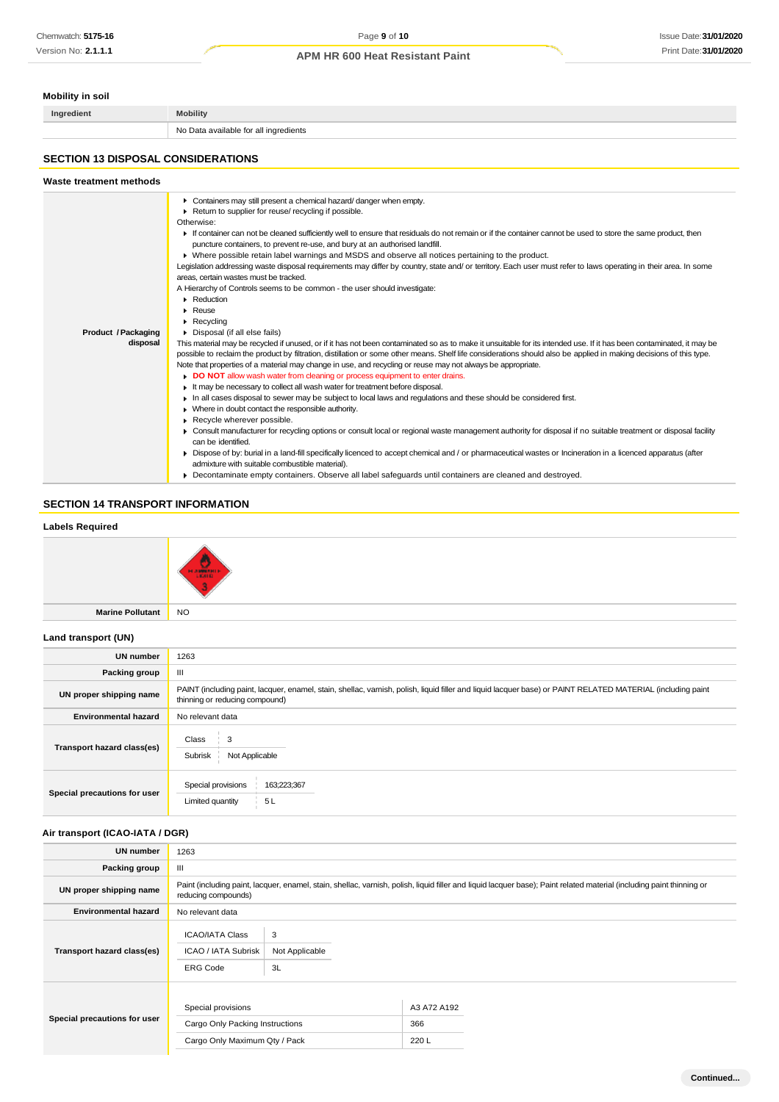| <b>Mobility in soil</b>                   |                                                                                                                                                                                                                                                                                                                                                                                                                                                                                                                                                                                                                                                                                                                                                                                                                                                                                                                                                                                                                                                                                                                                                                                                                                                                                                                                                                                                                                                                                                                                                                                                                                                                                                                                                                                                                                                                                                                                                                                                                                                                                                                                                                                                                                                    |  |  |
|-------------------------------------------|----------------------------------------------------------------------------------------------------------------------------------------------------------------------------------------------------------------------------------------------------------------------------------------------------------------------------------------------------------------------------------------------------------------------------------------------------------------------------------------------------------------------------------------------------------------------------------------------------------------------------------------------------------------------------------------------------------------------------------------------------------------------------------------------------------------------------------------------------------------------------------------------------------------------------------------------------------------------------------------------------------------------------------------------------------------------------------------------------------------------------------------------------------------------------------------------------------------------------------------------------------------------------------------------------------------------------------------------------------------------------------------------------------------------------------------------------------------------------------------------------------------------------------------------------------------------------------------------------------------------------------------------------------------------------------------------------------------------------------------------------------------------------------------------------------------------------------------------------------------------------------------------------------------------------------------------------------------------------------------------------------------------------------------------------------------------------------------------------------------------------------------------------------------------------------------------------------------------------------------------------|--|--|
| Ingredient                                | <b>Mobility</b>                                                                                                                                                                                                                                                                                                                                                                                                                                                                                                                                                                                                                                                                                                                                                                                                                                                                                                                                                                                                                                                                                                                                                                                                                                                                                                                                                                                                                                                                                                                                                                                                                                                                                                                                                                                                                                                                                                                                                                                                                                                                                                                                                                                                                                    |  |  |
|                                           | No Data available for all ingredients                                                                                                                                                                                                                                                                                                                                                                                                                                                                                                                                                                                                                                                                                                                                                                                                                                                                                                                                                                                                                                                                                                                                                                                                                                                                                                                                                                                                                                                                                                                                                                                                                                                                                                                                                                                                                                                                                                                                                                                                                                                                                                                                                                                                              |  |  |
| <b>SECTION 13 DISPOSAL CONSIDERATIONS</b> |                                                                                                                                                                                                                                                                                                                                                                                                                                                                                                                                                                                                                                                                                                                                                                                                                                                                                                                                                                                                                                                                                                                                                                                                                                                                                                                                                                                                                                                                                                                                                                                                                                                                                                                                                                                                                                                                                                                                                                                                                                                                                                                                                                                                                                                    |  |  |
| Waste treatment methods                   |                                                                                                                                                                                                                                                                                                                                                                                                                                                                                                                                                                                                                                                                                                                                                                                                                                                                                                                                                                                                                                                                                                                                                                                                                                                                                                                                                                                                                                                                                                                                                                                                                                                                                                                                                                                                                                                                                                                                                                                                                                                                                                                                                                                                                                                    |  |  |
| Product / Packaging<br>disposal           | • Containers may still present a chemical hazard/danger when empty.<br>Return to supplier for reuse/ recycling if possible.<br>Otherwise:<br>If container can not be cleaned sufficiently well to ensure that residuals do not remain or if the container cannot be used to store the same product, then<br>puncture containers, to prevent re-use, and bury at an authorised landfill.<br>▶ Where possible retain label warnings and MSDS and observe all notices pertaining to the product.<br>Legislation addressing waste disposal requirements may differ by country, state and/ or territory. Each user must refer to laws operating in their area. In some<br>areas, certain wastes must be tracked.<br>A Hierarchy of Controls seems to be common - the user should investigate:<br>Reduction<br>▶ Reuse<br>$\blacktriangleright$ Recycling<br>Disposal (if all else fails)<br>This material may be recycled if unused, or if it has not been contaminated so as to make it unsuitable for its intended use. If it has been contaminated, it may be<br>possible to reclaim the product by filtration, distillation or some other means. Shelf life considerations should also be applied in making decisions of this type.<br>Note that properties of a material may change in use, and recycling or reuse may not always be appropriate.<br>DO NOT allow wash water from cleaning or process equipment to enter drains.<br>It may be necessary to collect all wash water for treatment before disposal.<br>In all cases disposal to sewer may be subject to local laws and regulations and these should be considered first.<br>• Where in doubt contact the responsible authority.<br>Recycle wherever possible.<br>• Consult manufacturer for recycling options or consult local or regional waste management authority for disposal if no suitable treatment or disposal facility<br>can be identified.<br>Dispose of by: burial in a land-fill specifically licenced to accept chemical and / or pharmaceutical wastes or Incineration in a licenced apparatus (after<br>admixture with suitable combustible material).<br>• Decontaminate empty containers. Observe all label safeguards until containers are cleaned and destroyed. |  |  |

## **SECTION 14 TRANSPORT INFORMATION**

## **Labels Required**



**Marine Pollutant** NO

## **Land transport (UN)**

| <b>UN number</b>             | 1263                                                                                                                                                                                          |  |  |
|------------------------------|-----------------------------------------------------------------------------------------------------------------------------------------------------------------------------------------------|--|--|
| Packing group                | Ш                                                                                                                                                                                             |  |  |
| UN proper shipping name      | PAINT (including paint, lacquer, enamel, stain, shellac, varnish, polish, liquid filler and liquid lacquer base) or PAINT RELATED MATERIAL (including paint<br>thinning or reducing compound) |  |  |
| <b>Environmental hazard</b>  | No relevant data                                                                                                                                                                              |  |  |
| Transport hazard class(es)   | Class<br>3<br>Subrisk<br>Not Applicable                                                                                                                                                       |  |  |
| Special precautions for user | Special provisions<br>163;223;367<br>5L<br>Limited quantity                                                                                                                                   |  |  |

## **Air transport (ICAO-IATA / DGR)**

| <b>UN number</b>             | 1263                                                                                                                                                                                         |  |                            |  |
|------------------------------|----------------------------------------------------------------------------------------------------------------------------------------------------------------------------------------------|--|----------------------------|--|
| Packing group                | Ш                                                                                                                                                                                            |  |                            |  |
| UN proper shipping name      | Paint (including paint, lacquer, enamel, stain, shellac, varnish, polish, liquid filler and liquid lacquer base); Paint related material (including paint thinning or<br>reducing compounds) |  |                            |  |
| <b>Environmental hazard</b>  | No relevant data                                                                                                                                                                             |  |                            |  |
| Transport hazard class(es)   | 3<br><b>ICAO/IATA Class</b><br>ICAO / IATA Subrisk<br>Not Applicable<br>3L<br><b>ERG Code</b>                                                                                                |  |                            |  |
| Special precautions for user | Special provisions<br>Cargo Only Packing Instructions<br>Cargo Only Maximum Qty / Pack                                                                                                       |  | A3 A72 A192<br>366<br>220L |  |